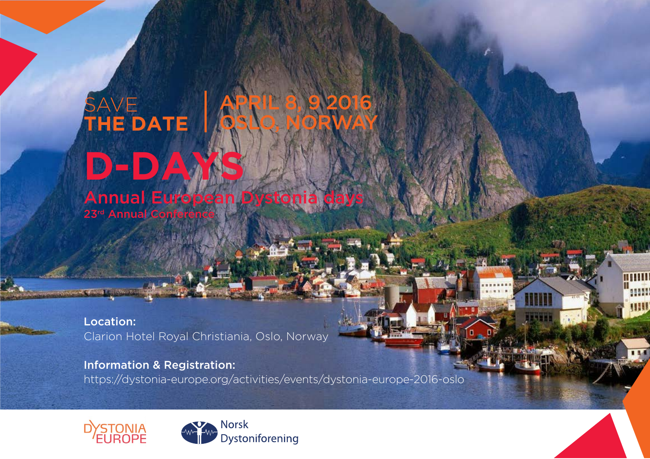# SAVE **THE DATE** APRIL 8, 9 2016 OSLO, NORWAY

**D**-D Annual European Dystonia days 23rd Annual Conference

Location: Clarion Hotel Royal Christiania, Oslo, Norway

Information & Registration: https://dystonia-europe.org/activities/events/dystonia-europe-2016-oslo <mark>Anii</mark><br>Anii

un

 $144$ 

m